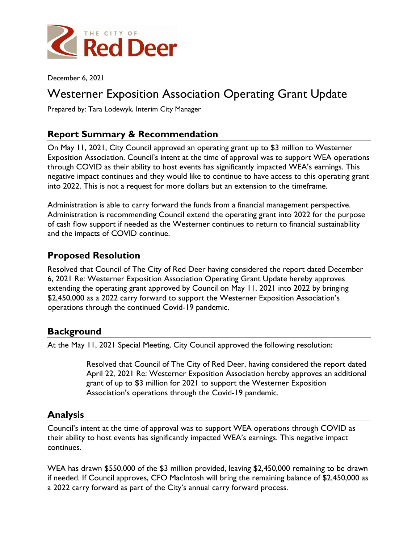

December 6, 2021

# Westerner Exposition Association Operating Grant Update

Prepared by: Tara Lodewyk, Interim City Manager

## **Report Summary & Recommendation**

On May 11, 2021, City Council approved an operating grant up to \$3 million to Westerner Exposition Association. Council's intent at the time of approval was to support WEA operations through COVID as their ability to host events has significantly impacted WEA's earnings. This negative impact continues and they would like to continue to have access to this operating grant into 2022. This is not a request for more dollars but an extension to the timeframe.

Administration is able to carry forward the funds from a financial management perspective. Administration is recommending Council extend the operating grant into 2022 for the purpose of cash flow support if needed as the Westerner continues to return to financial sustainability and the impacts of COVID continue.

### **Proposed Resolution**

Resolved that Council of The City of Red Deer having considered the report dated December 6, 2021 Re: Westerner Exposition Association Operating Grant Update hereby approves extending the operating grant approved by Council on May 11, 2021 into 2022 by bringing \$2,450,000 as a 2022 carry forward to support the Westerner Exposition Association's operations through the continued Covid-19 pandemic.

#### **Background**

At the May 11, 2021 Special Meeting, City Council approved the following resolution:

Resolved that Council of The City of Red Deer, having considered the report dated April 22, 2021 Re: Westerner Exposition Association hereby approves an additional grant of up to \$3 million for 2021 to support the Westerner Exposition Association's operations through the Covid-19 pandemic.

### **Analysis**

Council's intent at the time of approval was to support WEA operations through COVID as their ability to host events has significantly impacted WEA's earnings. This negative impact continues.

WEA has drawn \$550,000 of the \$3 million provided, leaving \$2,450,000 remaining to be drawn if needed. If Council approves, CFO MacIntosh will bring the remaining balance of \$2,450,000 as a 2022 carry forward as part of the City's annual carry forward process.